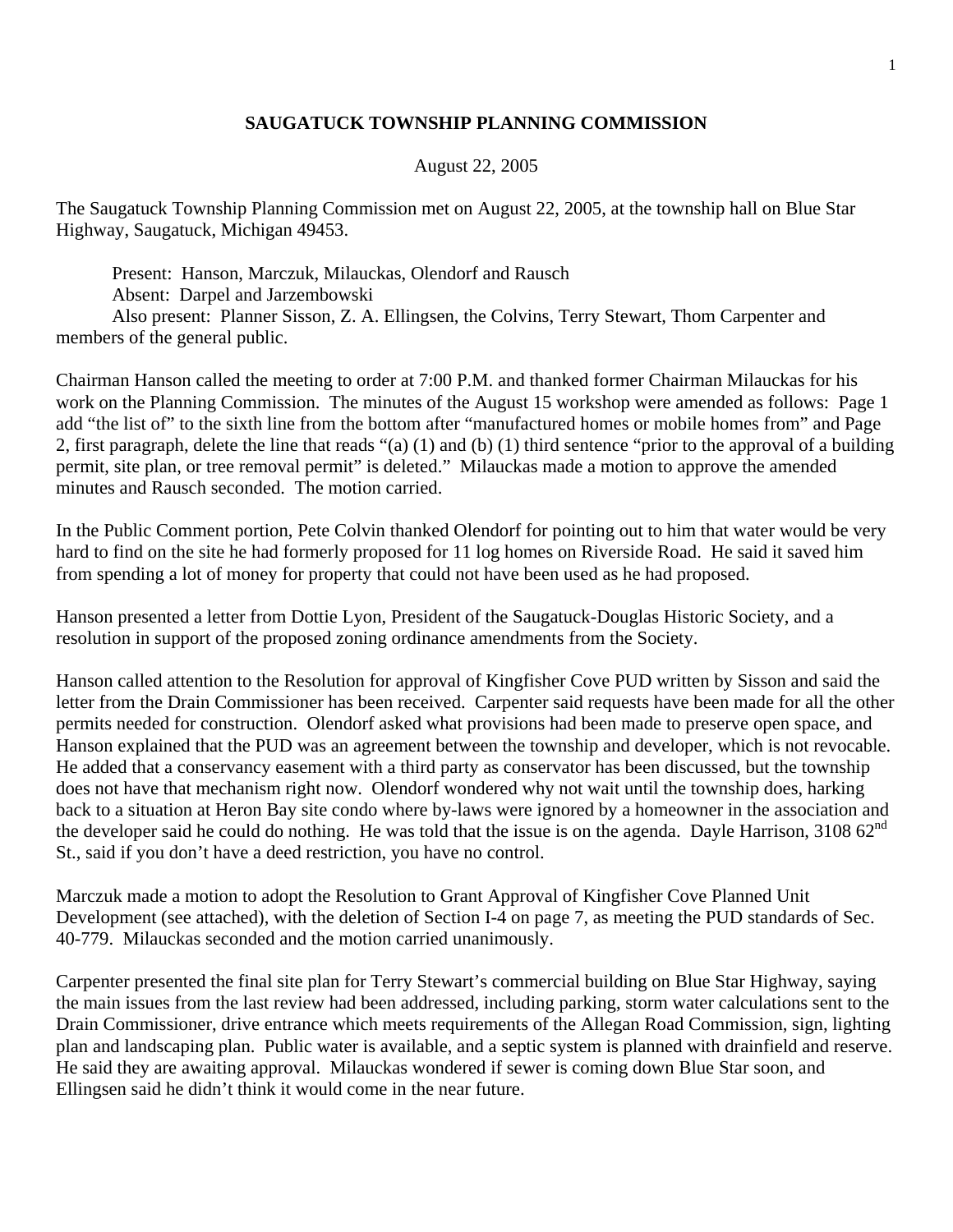## **SAUGATUCK TOWNSHIP PLANNING COMMISSION**

## August 22, 2005

The Saugatuck Township Planning Commission met on August 22, 2005, at the township hall on Blue Star Highway, Saugatuck, Michigan 49453.

 Present: Hanson, Marczuk, Milauckas, Olendorf and Rausch Absent: Darpel and Jarzembowski Also present: Planner Sisson, Z. A. Ellingsen, the Colvins, Terry Stewart, Thom Carpenter and members of the general public.

Chairman Hanson called the meeting to order at 7:00 P.M. and thanked former Chairman Milauckas for his work on the Planning Commission. The minutes of the August 15 workshop were amended as follows: Page 1 add "the list of" to the sixth line from the bottom after "manufactured homes or mobile homes from" and Page 2, first paragraph, delete the line that reads "(a) (1) and (b) (1) third sentence "prior to the approval of a building permit, site plan, or tree removal permit" is deleted." Milauckas made a motion to approve the amended minutes and Rausch seconded. The motion carried.

In the Public Comment portion, Pete Colvin thanked Olendorf for pointing out to him that water would be very hard to find on the site he had formerly proposed for 11 log homes on Riverside Road. He said it saved him from spending a lot of money for property that could not have been used as he had proposed.

Hanson presented a letter from Dottie Lyon, President of the Saugatuck-Douglas Historic Society, and a resolution in support of the proposed zoning ordinance amendments from the Society.

Hanson called attention to the Resolution for approval of Kingfisher Cove PUD written by Sisson and said the letter from the Drain Commissioner has been received. Carpenter said requests have been made for all the other permits needed for construction. Olendorf asked what provisions had been made to preserve open space, and Hanson explained that the PUD was an agreement between the township and developer, which is not revocable. He added that a conservancy easement with a third party as conservator has been discussed, but the township does not have that mechanism right now. Olendorf wondered why not wait until the township does, harking back to a situation at Heron Bay site condo where by-laws were ignored by a homeowner in the association and the developer said he could do nothing. He was told that the issue is on the agenda. Dayle Harrison,  $310862^{nd}$ St., said if you don't have a deed restriction, you have no control.

Marczuk made a motion to adopt the Resolution to Grant Approval of Kingfisher Cove Planned Unit Development (see attached), with the deletion of Section I-4 on page 7, as meeting the PUD standards of Sec. 40-779. Milauckas seconded and the motion carried unanimously.

Carpenter presented the final site plan for Terry Stewart's commercial building on Blue Star Highway, saying the main issues from the last review had been addressed, including parking, storm water calculations sent to the Drain Commissioner, drive entrance which meets requirements of the Allegan Road Commission, sign, lighting plan and landscaping plan. Public water is available, and a septic system is planned with drainfield and reserve. He said they are awaiting approval. Milauckas wondered if sewer is coming down Blue Star soon, and Ellingsen said he didn't think it would come in the near future.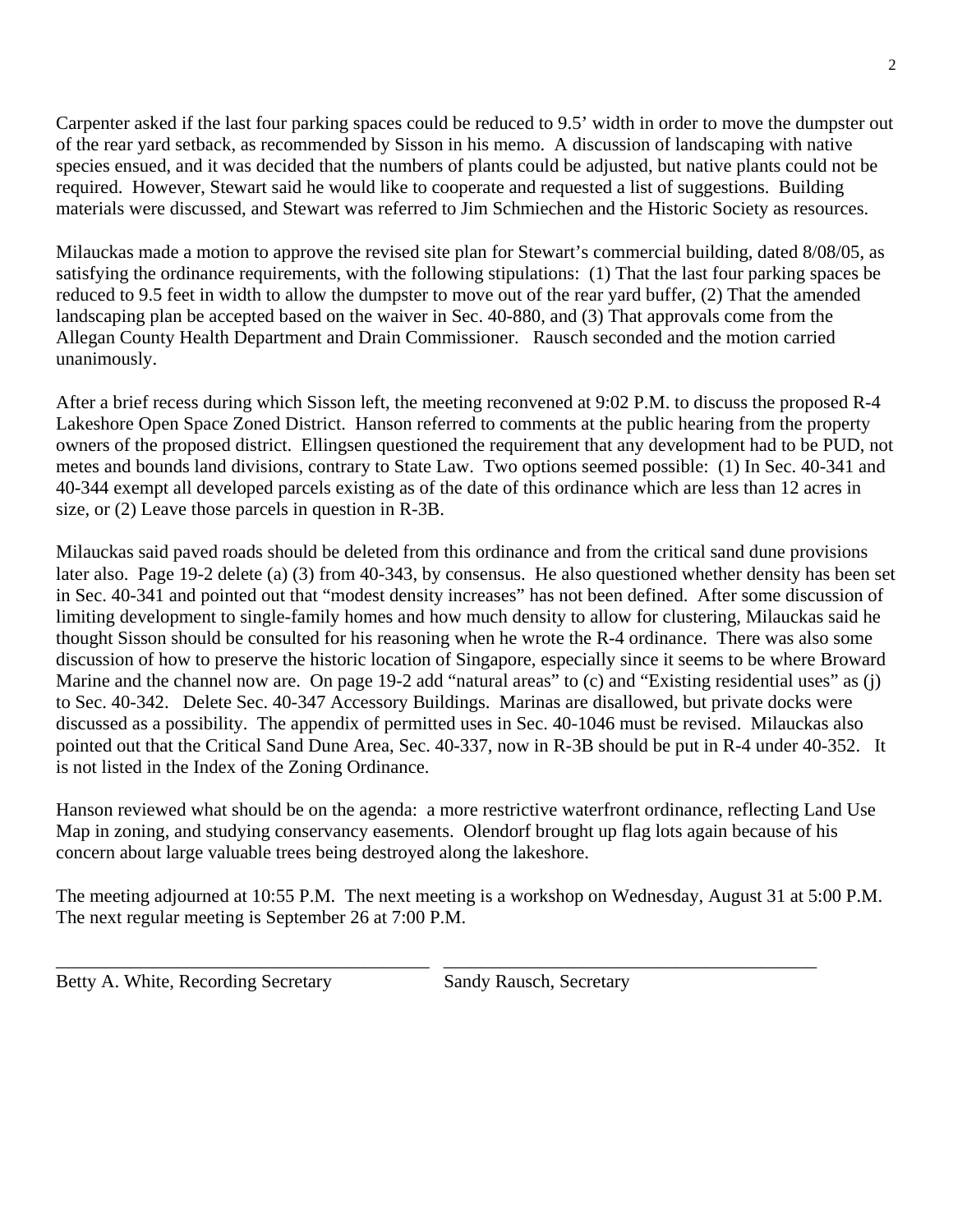Carpenter asked if the last four parking spaces could be reduced to 9.5' width in order to move the dumpster out of the rear yard setback, as recommended by Sisson in his memo. A discussion of landscaping with native species ensued, and it was decided that the numbers of plants could be adjusted, but native plants could not be required. However, Stewart said he would like to cooperate and requested a list of suggestions. Building materials were discussed, and Stewart was referred to Jim Schmiechen and the Historic Society as resources.

Milauckas made a motion to approve the revised site plan for Stewart's commercial building, dated 8/08/05, as satisfying the ordinance requirements, with the following stipulations: (1) That the last four parking spaces be reduced to 9.5 feet in width to allow the dumpster to move out of the rear yard buffer, (2) That the amended landscaping plan be accepted based on the waiver in Sec. 40-880, and (3) That approvals come from the Allegan County Health Department and Drain Commissioner. Rausch seconded and the motion carried unanimously.

After a brief recess during which Sisson left, the meeting reconvened at 9:02 P.M. to discuss the proposed R-4 Lakeshore Open Space Zoned District. Hanson referred to comments at the public hearing from the property owners of the proposed district. Ellingsen questioned the requirement that any development had to be PUD, not metes and bounds land divisions, contrary to State Law. Two options seemed possible: (1) In Sec. 40-341 and 40-344 exempt all developed parcels existing as of the date of this ordinance which are less than 12 acres in size, or (2) Leave those parcels in question in R-3B.

Milauckas said paved roads should be deleted from this ordinance and from the critical sand dune provisions later also. Page 19-2 delete (a) (3) from 40-343, by consensus. He also questioned whether density has been set in Sec. 40-341 and pointed out that "modest density increases" has not been defined. After some discussion of limiting development to single-family homes and how much density to allow for clustering, Milauckas said he thought Sisson should be consulted for his reasoning when he wrote the R-4 ordinance. There was also some discussion of how to preserve the historic location of Singapore, especially since it seems to be where Broward Marine and the channel now are. On page 19-2 add "natural areas" to (c) and "Existing residential uses" as (j) to Sec. 40-342. Delete Sec. 40-347 Accessory Buildings. Marinas are disallowed, but private docks were discussed as a possibility. The appendix of permitted uses in Sec. 40-1046 must be revised. Milauckas also pointed out that the Critical Sand Dune Area, Sec. 40-337, now in R-3B should be put in R-4 under 40-352. It is not listed in the Index of the Zoning Ordinance.

Hanson reviewed what should be on the agenda: a more restrictive waterfront ordinance, reflecting Land Use Map in zoning, and studying conservancy easements. Olendorf brought up flag lots again because of his concern about large valuable trees being destroyed along the lakeshore.

The meeting adjourned at 10:55 P.M. The next meeting is a workshop on Wednesday, August 31 at 5:00 P.M. The next regular meeting is September 26 at 7:00 P.M.

\_\_\_\_\_\_\_\_\_\_\_\_\_\_\_\_\_\_\_\_\_\_\_\_\_\_\_\_\_\_\_\_\_\_\_\_\_\_\_\_ \_\_\_\_\_\_\_\_\_\_\_\_\_\_\_\_\_\_\_\_\_\_\_\_\_\_\_\_\_\_\_\_\_\_\_\_\_\_\_\_

Betty A. White, Recording Secretary Sandy Rausch, Secretary